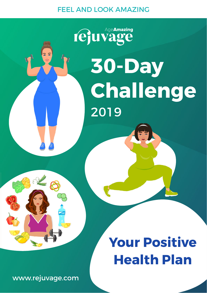### FEEL AND LOOK AMAZING

# rejuvage **30-Day Challenge** 2019



 $\overline{z}$ 

### **Your Positive Health Plan**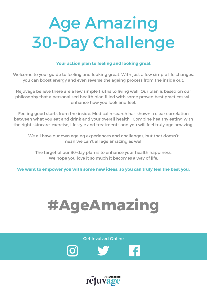## Age Amazing 30-Day Challenge

#### **Your action plan to feeling and looking great**

Welcome to your guide to feeling and looking great. With just a few simple life changes, you can boost energy and even reverse the ageing process from the inside out.

Rejuvage believe there are a few simple truths to living well. Our plan is based on our philosophy that a personalised health plan filled with some proven best practices will enhance how you look and feel.

Feeling good starts from the inside. Medical research has shown a clear correlation between what you eat and drink and your overall health. Combine healthy eating with the right skincare, exercise, lifestyle and treatments and you will feel truly age amazing.

We all have our own ageing experiences and challenges, but that doesn't mean we can't all age amazing as well.

The target of our 30-day plan is to enhance your health happiness. We hope you love it so much it becomes a way of life.

**We want to empower you with some new ideas, so you can truly feel the best you.**



Get Involved Online



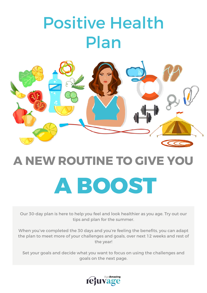### Positive Health Plan



## **A NEW ROUTINE TO GIVE YOU A BOOST**

Our 30-day plan is here to help you feel and look healthier as you age. Try out our tips and plan for the summer.

When you've completed the 30 days and you're feeling the benefits, you can adapt the plan to meet more of your challenges and goals, over next 12 weeks and rest of the year!

Set your goals and decide what you want to focus on using the challenges and goals on the next page.

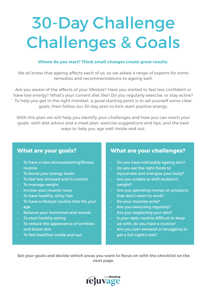### 30-Day Challenge Challenges & Goals

#### **Where do you start? Think small changes create great results.**

We all know that ageing affects each of us, so we asked a range of experts for some remedies and recommendations to ageing well.

Are you aware of the affects of your lifestyle? Have you started to feel less confident or have low energy? What's your current diet like? Do you regularly exercise, or stay active? To help you get in the right mindset, a good starting point is to set yourself some clear goals, then follow our 30-day plan to kick-start positive energy.

With this plan we will help you identify your challenges and how you can reach your goals- with diet advice and a meal plan, exercise suggestions and tips, and the best ways to help you age well inside and out.

#### **What are your goals?**

- To have a new skincare/eating/fitness routine
- To boost your energy levels
- To feel less stressed and in control
- To manage weight
- Increse your muscle mass
- $\cdot$  To have healthy, shiny hair
- To have a lifestyle routine that fits your age
- Balance your hormones and moods
- To start healthy eating
- To reduce the appearance of wrinkles and boost skin
- To feel healthier inside and out

#### **What are your challenges?**

- Do you have noticeably ageing skin?
- Do you eat the right foods to rejuvenate and energise your body?
- Are you unable to shift stubborn weight?
- Are you spending money on products that don't seem to work?
- Do your muscles ache?
- Are you exercising regularly?
- Are you neglecting your skin?
- Is your daily routine difficult to keep up with, do you have a routine?
- Are you over-stressed or struggling to get a full night's rest?

**Set your goals and decide which areas you want to focus on with the checklist on the next page.**

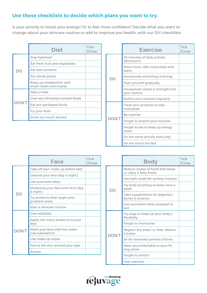#### **Use these checklists to decide which plans you want to try.**

Is your priority to boost your energy? Or to feel more confident? Decide what you want to change about your skincare routine or add to improve you health, with our DIY checklists.

|  | <b>Diet</b>                                       | <b>Tick</b><br>/Cross |
|--|---------------------------------------------------|-----------------------|
|  | <b>Stay hydrated</b>                              |                       |
|  | Eat fresh fruit and vegetables                    |                       |
|  | Eat lean proteins                                 |                       |
|  | Eat whole grains                                  |                       |
|  | Keep up metabolism with<br>small meals and snacks |                       |
|  | Skip a meal                                       |                       |
|  | Over eat refined/processed foods                  |                       |
|  | Eat pre-packaged foods                            |                       |
|  | Fry your food                                     |                       |
|  | Drink too much alcohol                            |                       |

|              | <b>Exercise</b>                                    | <b>Tick</b><br>/Cross |
|--------------|----------------------------------------------------|-----------------------|
|              | 20 minutes of daily activity<br>(Minimum)          |                       |
|              | Move more, take more steps and<br>stairs           |                       |
|              | Incorporate stretching & toning                    |                       |
|              | Push yourself gradually                            |                       |
|              | Incorporate cardio & strength into<br>your routine |                       |
|              | Switch your workout regularly                      |                       |
|              | Track your progress to stay<br>motivated           |                       |
|              | Be inactive                                        |                       |
| <b>DON'T</b> | Forget to stretch your muscles                     |                       |
|              | Forget to eat to keep up energy<br>levels          |                       |
|              | Do the same activity every day                     |                       |
|              | Do too much too fast                               |                       |

|               | Face                                             | <b>Tick</b><br>/Cross |
|---------------|--------------------------------------------------|-----------------------|
|               | Take off your make up before bed                 |                       |
|               | Cleanse your face (day & night)                  |                       |
|               | Use suncream daily                               |                       |
|               | Moisturise your face and neck (day<br>& night)   |                       |
|               | Try products that target your<br>problem areas   |                       |
|               | Start a skincare routine                         |                       |
|               | Over exfoliate                                   |                       |
|               | Apply too many products to your<br>face          |                       |
| <b>T</b> `NOC | Wash your face with hot water<br>(use lukewarm!) |                       |
|               | Use make up wipes                                |                       |
|               | Pull at the skin around your eyes                |                       |
|               | Smoke                                            |                       |

|             | <b>Body</b>                                                    | <b>Tick</b><br>/Cross |
|-------------|----------------------------------------------------------------|-----------------------|
|             | Reduce intake of foods that bloat.<br>i.e. dairy & fatty foods |                       |
|             | Use bath soaks for aching muscles                              |                       |
| ነ $\subset$ | Try body brushing at lease once a<br>week                      |                       |
|             | Take supplements for digestion,<br>bones & muscles             |                       |
|             | Use suncream when exposed to<br>sun                            |                       |
|             | Try yoga to keep up your body's<br>flexibility                 |                       |
| <b>ON'</b>  | Forget to moisturise                                           |                       |
|             | Neglect dry areas <i>i.e.</i> Feet, elbows<br>& knees          |                       |
|             | Sit for extended periods of time                               |                       |
|             | Wear uncomfortable or poor fit-<br>ting shoes                  |                       |
|             | Forget to stretch                                              |                       |
|             | Over exercise                                                  |                       |

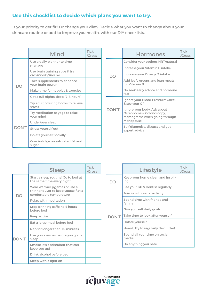#### **Use this checklist to decide which plans you want to try.**

Is your priority to get fit? Or change your diet? Decide what you want to change about your skincare routine or add to improve you health, with our DIY checklists.

|             | Mind                                               | <b>Tick</b><br>/Cross |
|-------------|----------------------------------------------------|-----------------------|
|             | Use a daily planner to time<br>manage              |                       |
|             | Use brain training apps & try<br>crosswords/suduko |                       |
| ገ $\subset$ | Take supplements to enhance<br>your brain power    |                       |
|             | Make time for hobbies & exercise                   |                       |
|             | Get a full nights sleep (7-8 hours)                |                       |
|             | Try adult coluring books to relieve<br>stress      |                       |
|             | Try meditation or yoga to relax<br>your mind       |                       |
|             | Under/over sleep                                   |                       |
| DON'T       | Stress yourself out                                |                       |
|             | Isolate yourself socially                          |                       |
|             | Over indulge on saturated fat and<br>sugar         |                       |

|              | <b>Hormones</b>                                                                                        | <b>Tick</b><br>/Cross |
|--------------|--------------------------------------------------------------------------------------------------------|-----------------------|
|              | Consider your options HRT/natural                                                                      |                       |
|              | Increase your Vitamin E intake                                                                         |                       |
|              | Increase your Omega 3 intake                                                                           |                       |
|              | Add leafy greens and lean meats<br>for Vitamin B                                                       |                       |
|              | Do seek early advice and hormone<br>test                                                               |                       |
|              | Ignore your Blood Pressure! Check<br>& see your GP                                                     |                       |
| <b>DON'T</b> | Ignore your body. Ask about<br>Osteoporosis, Colonoscopy,<br>Mamograms when going through<br>Menopause |                       |
|              | Self diagnoise, discuss and get<br>expert advice                                                       |                       |

|              | <b>Sleep</b>                                                                                   | <b>Tick</b><br>/Cross |
|--------------|------------------------------------------------------------------------------------------------|-----------------------|
|              | Start a sleep routine! Go to bed at<br>the same time every night                               |                       |
|              | Wear warmer pyjamas or use a<br>thinner duvet to keep yourself at a<br>comfortable temperature |                       |
|              | Relax with meditation                                                                          |                       |
|              | Stop drinking caffeine 4 hours<br>before bed                                                   |                       |
|              | Keep active                                                                                    |                       |
|              | Eat a large meal before bed                                                                    |                       |
| <b>DON'T</b> | Nap for longer than 15 minutes                                                                 |                       |
|              | Use your devices before you go to<br>sleep                                                     |                       |
|              | Smoke, It's a stimulant that can<br>keep you up!                                               |                       |
|              | Drink alcohol before bed                                                                       |                       |
|              | Sleep with a light on                                                                          |                       |

|              | Lifestyle                               | <b>Tick</b><br>/Cross |
|--------------|-----------------------------------------|-----------------------|
|              | Keep your home clean and inspir-<br>ing |                       |
|              | See your GP & Dentist regularly         |                       |
|              | Join in with social activity            |                       |
|              | Spend time with friends and<br>family   |                       |
|              | Give yourself daily goals               |                       |
| <b>DON'T</b> | Take time to look after yourself        |                       |
|              | Isolate yourself                        |                       |
|              | Hoard. Try to regularly de-clutter!     |                       |
|              | Spend all your time on social<br>media  |                       |
|              | Do anything you hate                    |                       |

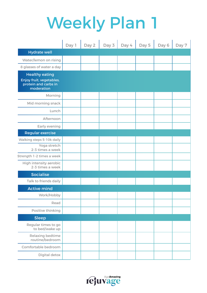|                                                                                         | Day 1 | Day 2 | Day 3 | Day 4 | Day 5 | Day 6 | Day 7 |
|-----------------------------------------------------------------------------------------|-------|-------|-------|-------|-------|-------|-------|
| <b>Hydrate well</b>                                                                     |       |       |       |       |       |       |       |
| Water/lemon on rising                                                                   |       |       |       |       |       |       |       |
| 8 glasses of water a day                                                                |       |       |       |       |       |       |       |
| <b>Healthy eating</b><br>Enjoy fruit, vegetables,<br>protein and carbs in<br>moderation |       |       |       |       |       |       |       |
| Morning                                                                                 |       |       |       |       |       |       |       |
| Mid morning snack                                                                       |       |       |       |       |       |       |       |
| Lunch                                                                                   |       |       |       |       |       |       |       |
| Afternoon                                                                               |       |       |       |       |       |       |       |
| Early evening                                                                           |       |       |       |       |       |       |       |
| <b>Regular exercise</b>                                                                 |       |       |       |       |       |       |       |
| Walking steps 5-10k daily                                                               |       |       |       |       |       |       |       |
| Yoga stretch<br>2-3 times a week                                                        |       |       |       |       |       |       |       |
| Strength 1-2 times a week                                                               |       |       |       |       |       |       |       |
| <b>High intensity aerobic</b><br>2-3 times a week                                       |       |       |       |       |       |       |       |
| <b>Socialise</b>                                                                        |       |       |       |       |       |       |       |
| Talk to friends daily                                                                   |       |       |       |       |       |       |       |
| <b>Active mind</b>                                                                      |       |       |       |       |       |       |       |
| Work/Hobby                                                                              |       |       |       |       |       |       |       |
| Read                                                                                    |       |       |       |       |       |       |       |
| Positive thinking                                                                       |       |       |       |       |       |       |       |
| <b>Sleep</b>                                                                            |       |       |       |       |       |       |       |
| Regular times to go<br>to bed/wake up                                                   |       |       |       |       |       |       |       |
| Relaxing bedtime<br>routine/bedroom                                                     |       |       |       |       |       |       |       |
| Comfortable bedroom                                                                     |       |       |       |       |       |       |       |
| Digital detox                                                                           |       |       |       |       |       |       |       |

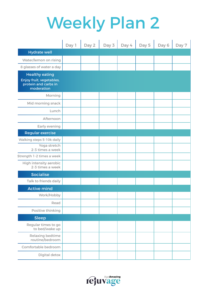|                                                                                         | Day 1 | Day 2 | Day 3 | Day 4 | Day 5 | Day 6 | Day 7 |
|-----------------------------------------------------------------------------------------|-------|-------|-------|-------|-------|-------|-------|
| <b>Hydrate well</b>                                                                     |       |       |       |       |       |       |       |
| Water/lemon on rising                                                                   |       |       |       |       |       |       |       |
| 8 glasses of water a day                                                                |       |       |       |       |       |       |       |
| <b>Healthy eating</b><br>Enjoy fruit, vegetables,<br>protein and carbs in<br>moderation |       |       |       |       |       |       |       |
| Morning                                                                                 |       |       |       |       |       |       |       |
| Mid morning snack                                                                       |       |       |       |       |       |       |       |
| Lunch                                                                                   |       |       |       |       |       |       |       |
| Afternoon                                                                               |       |       |       |       |       |       |       |
| Early evening                                                                           |       |       |       |       |       |       |       |
| <b>Regular exercise</b>                                                                 |       |       |       |       |       |       |       |
| Walking steps 5-10k daily                                                               |       |       |       |       |       |       |       |
| Yoga stretch<br>2-3 times a week                                                        |       |       |       |       |       |       |       |
| Strength 1-2 times a week                                                               |       |       |       |       |       |       |       |
| <b>High intensity aerobic</b><br>2-3 times a week                                       |       |       |       |       |       |       |       |
| <b>Socialise</b>                                                                        |       |       |       |       |       |       |       |
| Talk to friends daily                                                                   |       |       |       |       |       |       |       |
| <b>Active mind</b>                                                                      |       |       |       |       |       |       |       |
| Work/Hobby                                                                              |       |       |       |       |       |       |       |
| Read                                                                                    |       |       |       |       |       |       |       |
| Positive thinking                                                                       |       |       |       |       |       |       |       |
| <b>Sleep</b>                                                                            |       |       |       |       |       |       |       |
| Regular times to go<br>to bed/wake up                                                   |       |       |       |       |       |       |       |
| Relaxing bedtime<br>routine/bedroom                                                     |       |       |       |       |       |       |       |
| Comfortable bedroom                                                                     |       |       |       |       |       |       |       |
| Digital detox                                                                           |       |       |       |       |       |       |       |

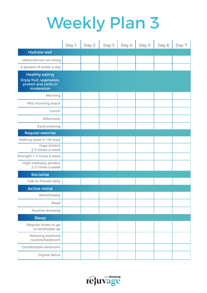|                                                                                         | Day 1 | Day 2 | Day 3 | Day 4 | Day 5 | Day 6 | Day 7 |
|-----------------------------------------------------------------------------------------|-------|-------|-------|-------|-------|-------|-------|
| <b>Hydrate well</b>                                                                     |       |       |       |       |       |       |       |
| Water/lemon on rising                                                                   |       |       |       |       |       |       |       |
| 8 glasses of water a day                                                                |       |       |       |       |       |       |       |
| <b>Healthy eating</b><br>Enjoy fruit, vegetables,<br>protein and carbs in<br>moderation |       |       |       |       |       |       |       |
| Morning                                                                                 |       |       |       |       |       |       |       |
| Mid morning snack                                                                       |       |       |       |       |       |       |       |
| Lunch                                                                                   |       |       |       |       |       |       |       |
| Afternoon                                                                               |       |       |       |       |       |       |       |
| Early evening                                                                           |       |       |       |       |       |       |       |
| <b>Regular exercise</b>                                                                 |       |       |       |       |       |       |       |
| Walking steps 5-10k daily                                                               |       |       |       |       |       |       |       |
| Yoga stretch<br>2-3 times a week                                                        |       |       |       |       |       |       |       |
| Strength 1-2 times a week                                                               |       |       |       |       |       |       |       |
| High intensity aerobic<br>2-3 times a week                                              |       |       |       |       |       |       |       |
| <b>Socialise</b>                                                                        |       |       |       |       |       |       |       |
| Talk to friends daily                                                                   |       |       |       |       |       |       |       |
| <b>Active mind</b>                                                                      |       |       |       |       |       |       |       |
| Work/Hobby                                                                              |       |       |       |       |       |       |       |
| Read                                                                                    |       |       |       |       |       |       |       |
| Positive thinking                                                                       |       |       |       |       |       |       |       |
| <b>Sleep</b>                                                                            |       |       |       |       |       |       |       |
| Regular times to go<br>to bed/wake up                                                   |       |       |       |       |       |       |       |
| Relaxing bedtime<br>routine/bedroom                                                     |       |       |       |       |       |       |       |
| Comfortable bedroom                                                                     |       |       |       |       |       |       |       |
| Digital detox                                                                           |       |       |       |       |       |       |       |

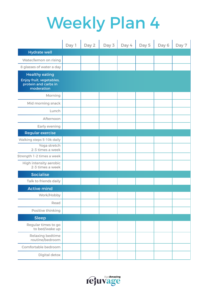|                                                                                         | Day 1 | Day 2 | Day 3 | Day 4 | Day 5 | Day 6 | Day 7 |
|-----------------------------------------------------------------------------------------|-------|-------|-------|-------|-------|-------|-------|
| <b>Hydrate well</b>                                                                     |       |       |       |       |       |       |       |
| Water/lemon on rising                                                                   |       |       |       |       |       |       |       |
| 8 glasses of water a day                                                                |       |       |       |       |       |       |       |
| <b>Healthy eating</b><br>Enjoy fruit, vegetables,<br>protein and carbs in<br>moderation |       |       |       |       |       |       |       |
| Morning                                                                                 |       |       |       |       |       |       |       |
| Mid morning snack                                                                       |       |       |       |       |       |       |       |
| Lunch                                                                                   |       |       |       |       |       |       |       |
| Afternoon                                                                               |       |       |       |       |       |       |       |
| Early evening                                                                           |       |       |       |       |       |       |       |
| <b>Regular exercise</b>                                                                 |       |       |       |       |       |       |       |
| Walking steps 5-10k daily                                                               |       |       |       |       |       |       |       |
| Yoga stretch<br>2-3 times a week                                                        |       |       |       |       |       |       |       |
| Strength 1-2 times a week                                                               |       |       |       |       |       |       |       |
| High intensity aerobic<br>2-3 times a week                                              |       |       |       |       |       |       |       |
| <b>Socialise</b>                                                                        |       |       |       |       |       |       |       |
| Talk to friends daily                                                                   |       |       |       |       |       |       |       |
| <b>Active mind</b>                                                                      |       |       |       |       |       |       |       |
| Work/Hobby                                                                              |       |       |       |       |       |       |       |
| Read                                                                                    |       |       |       |       |       |       |       |
| Positive thinking                                                                       |       |       |       |       |       |       |       |
| <b>Sleep</b>                                                                            |       |       |       |       |       |       |       |
| Regular times to go<br>to bed/wake up                                                   |       |       |       |       |       |       |       |
| <b>Relaxing bedtime</b><br>routine/bedroom                                              |       |       |       |       |       |       |       |
| Comfortable bedroom                                                                     |       |       |       |       |       |       |       |
| Digital detox                                                                           |       |       |       |       |       |       |       |

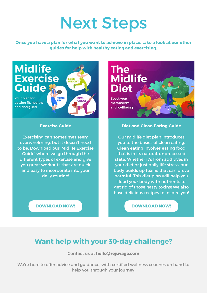### Next Steps

**Once you have a plan for what you want to achieve in place, take a look at our other guides for help with healthy eating and exercising.**



#### **Exercise Guide**

Exercising can sometimes seem overwhelming, but it doesn't need to be. Download our 'Midlife Exercise Guide' where we go through the different types of exercise and give you great workouts that are quick and easy to incorporate into your daily routine!

### **The Midlife Diet**

**Boost vour** metabolism and wellbeing

#### **Diet and Clean Eating Guide**

Our midlife diet plan introduces you to the basics of clean eating. Clean eating involves eating food that is in its natural, unprocessed state. Whether it's from additives in your diet or just daily life stress, our body builds up toxins that can prove harmful. This diet plan will help you flood your body with nutrients to get rid of those nasty toxins! We also have delicious recipes to inspire you!

**[DOWNLOAD NOW!](https://rejuvage.com/new-midlife-exercise-guide/) [DOWNLOAD NOW!](https://rejuvage.com/clean-eating-guide/)**

### **Want help with your 30-day challenge?**

Contact us at **hello@rejuvage.com**

We're here to offer advice and guidance, with certified wellness coaches on hand to help you through your journey!